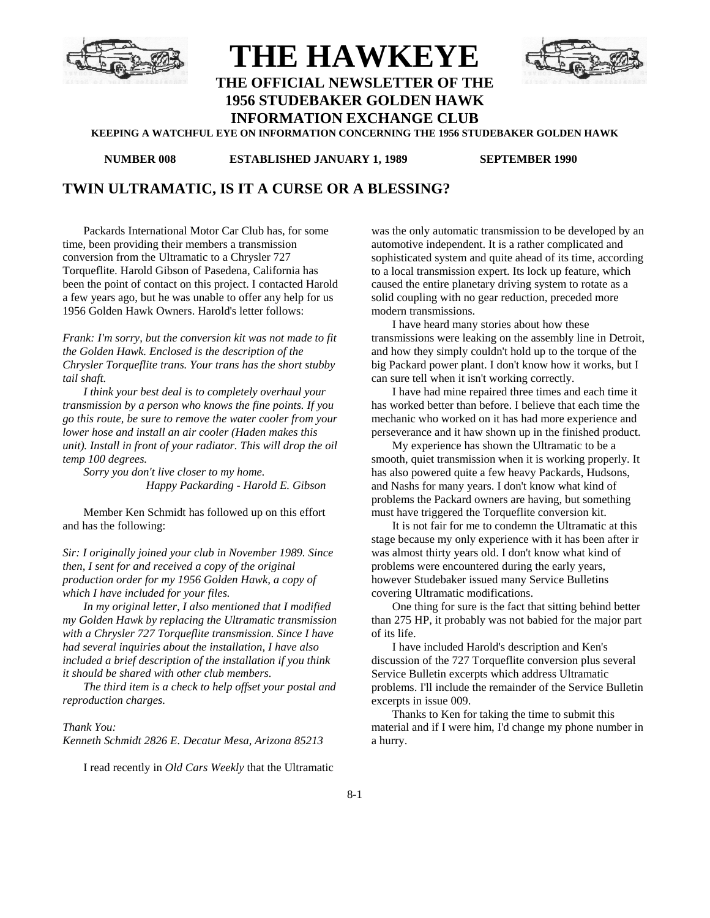

# **THE HAWKEYE**



**THE OFFICIAL NEWSLETTER OF THE 1956 STUDEBAKER GOLDEN HAWK**

**INFORMATION EXCHANGE CLUB**

**KEEPING A WATCHFUL EYE ON INFORMATION CONCERNING THE 1956 STUDEBAKER GOLDEN HAWK**

**NUMBER 008 ESTABLISHED JANUARY 1, 1989 SEPTEMBER 1990**

# **TWIN ULTRAMATIC, IS IT A CURSE OR A BLESSING?**

Packards International Motor Car Club has, for some time, been providing their members a transmission conversion from the Ultramatic to a Chrysler 727 Torqueflite. Harold Gibson of Pasedena, California has been the point of contact on this project. I contacted Harold a few years ago, but he was unable to offer any help for us 1956 Golden Hawk Owners. Harold's letter follows:

*Frank: I'm sorry, but the conversion kit was not made to fit the Golden Hawk. Enclosed is the description of the Chrysler Torqueflite trans. Your trans has the short stubby tail shaft.*

*I think your best deal is to completely overhaul your transmission by a person who knows the fine points. If you go this route, be sure to remove the water cooler from your lower hose and install an air cooler (Haden makes this unit). Install in front of your radiator. This will drop the oil temp 100 degrees.*

*Sorry you don't live closer to my home. Happy Packarding - Harold E. Gibson*

Member Ken Schmidt has followed up on this effort and has the following:

*Sir: I originally joined your club in November 1989. Since then, I sent for and received a copy of the original production order for my 1956 Golden Hawk, a copy of which I have included for your files.*

*In my original letter, I also mentioned that I modified my Golden Hawk by replacing the Ultramatic transmission with a Chrysler 727 Torqueflite transmission. Since I have had several inquiries about the installation, I have also included a brief description of the installation if you think it should be shared with other club members.*

*The third item is a check to help offset your postal and reproduction charges.*

#### *Thank You:*

*Kenneth Schmidt 2826 E. Decatur Mesa, Arizona 85213*

I read recently in *Old Cars Weekly* that the Ultramatic

was the only automatic transmission to be developed by an automotive independent. It is a rather complicated and sophisticated system and quite ahead of its time, according to a local transmission expert. Its lock up feature, which caused the entire planetary driving system to rotate as a solid coupling with no gear reduction, preceded more modern transmissions.

I have heard many stories about how these transmissions were leaking on the assembly line in Detroit, and how they simply couldn't hold up to the torque of the big Packard power plant. I don't know how it works, but I can sure tell when it isn't working correctly.

I have had mine repaired three times and each time it has worked better than before. I believe that each time the mechanic who worked on it has had more experience and perseverance and it haw shown up in the finished product.

My experience has shown the Ultramatic to be a smooth, quiet transmission when it is working properly. It has also powered quite a few heavy Packards, Hudsons, and Nashs for many years. I don't know what kind of problems the Packard owners are having, but something must have triggered the Torqueflite conversion kit.

It is not fair for me to condemn the Ultramatic at this stage because my only experience with it has been after ir was almost thirty years old. I don't know what kind of problems were encountered during the early years, however Studebaker issued many Service Bulletins covering Ultramatic modifications.

One thing for sure is the fact that sitting behind better than 275 HP, it probably was not babied for the major part of its life.

I have included Harold's description and Ken's discussion of the 727 Torqueflite conversion plus several Service Bulletin excerpts which address Ultramatic problems. I'll include the remainder of the Service Bulletin excerpts in issue 009.

Thanks to Ken for taking the time to submit this material and if I were him, I'd change my phone number in a hurry.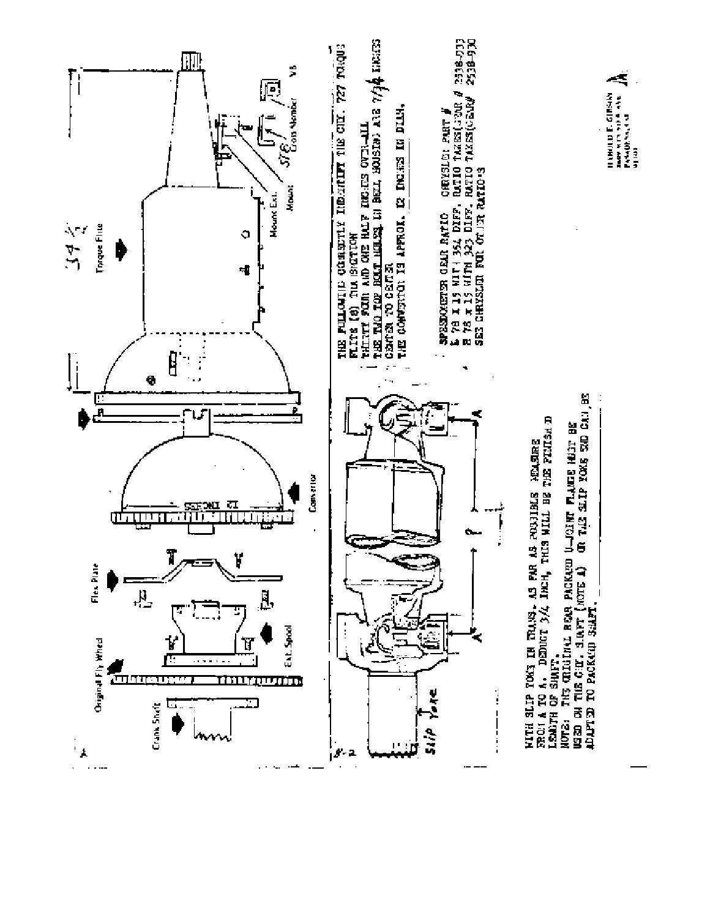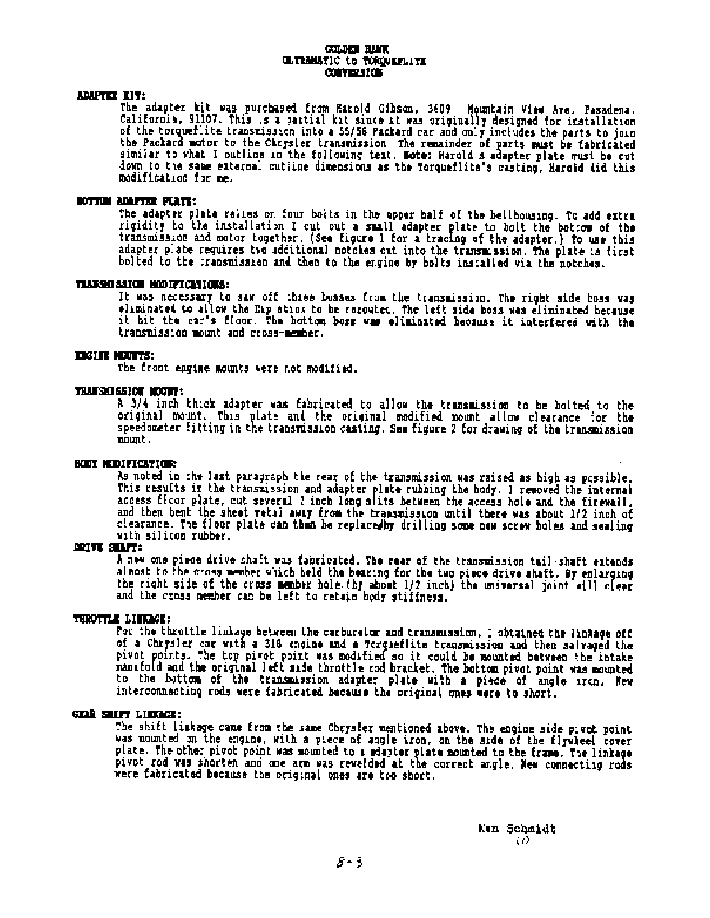#### **COLUMN HAFT.** ULTRANSTIC to TOROGRAPHITE **CONVERSION**

#### ADAPTER TIT:

The adapter hit was purchased from Earold Gibson, 3609 Mountain View Are, Pasadena, California, 91107. This is a partial kit since it was originally designed for installation of the torqueflite transmission into a 55/56 Packard car and only includes the parts to join the Packard motor to the Chrysler transmission. The remainder of parts must be fabricated similar to what I putline in the following test. Note: Harold's adapter plate must be cut down to the same external outline dimensions as the formueflite's masting. Harold did this modification for me.

#### BOTTUM ADAPTER PLATE:

The adapter plate relies on four botts in the upper half of the hellhousing. To add extra rigidity to the installation I cut out a small adapter plate to bolt the bottom of the transmission and motor together. (See Eigure 1 for a tracing of the adapter.) to use this adapter plate requires two additional notches bolted to the transmission and then to the engine by bolts installed via the notches.

#### TEASSAISSION MODIFICATIONS:

It was necessary to saw off three bosses from the transmission. The right side boss was eliminated to allow the Eip stick to be rerouted. The left side boss was eliminated because it hit the car's floor. The hottom boss was eliminated hecause it interfered with the transmission mount and cross-member.

#### **TESTIN MEDITE:**

The front engine mounts were not modified.

#### TRAUSILGEIOU MOUTH:

A 3/4 inch thick adapter was fabricated to allow the transmission to be holted to the original mount. This plate and the original modified nount allow clearance for the speedometer fitting in the transmission casting. See figure 2 for drawing of the transmission mount.

#### **BODY MODIFICATION:**

As noted in the last paragraph the rear of the transmission was raised as high as possible.<br>This results in the transmission and adapter plate rubbing the body. I removed the internal access floor plate, cut several 2 inch long slits between the access hole and the firewall.<br>and then bent the sheet netal away from the transmission until there was about 1/2 inch of clearance. The floor plate can than be replaced by drilling some new screw holes and sealing with silicon rubber.

#### **MOTE SILF:**

A new one piece drive shaft was fabricated. The rear of the transmission tail-shaft extends albost to the cross member which held the bearing for the two piece drive shaft. By enlarging the right side of the cross member hole (by about 1/2 inch) the universal joint will clear and the cross member can be left to retain body stiffness.

#### THROTTLE LINKSON:

Por the throttle linkage between the carburator and transmission, I obtained the linkage off of a Chrysler car with a 318 engine and a Torqueflite transmission and then salvaged the pivet points. The top pivet point was modified so it could be mounted between the intake manifold and the original left side throttle rod bracket. The bottom pivot point was mounted to the bottom of the transmission adapter plate with a piece of angle iron. Hew interconnecting rods were fabricated because the original ones were to short.

#### **GENE SHIFT LIBRACE:**

The shift linkage came from the same Chrysler mentioned above. The engine side pivot point was nounted on the engine, with a piece of angle iron, on the side of the flywheel cover plate. The other pivot point was mounted to a ideptor plate nounted to the frame. The linkage pivot rod was shorten and one arm was revelded at the correct angle. New connecting rods were fabricated because the original ones are too short.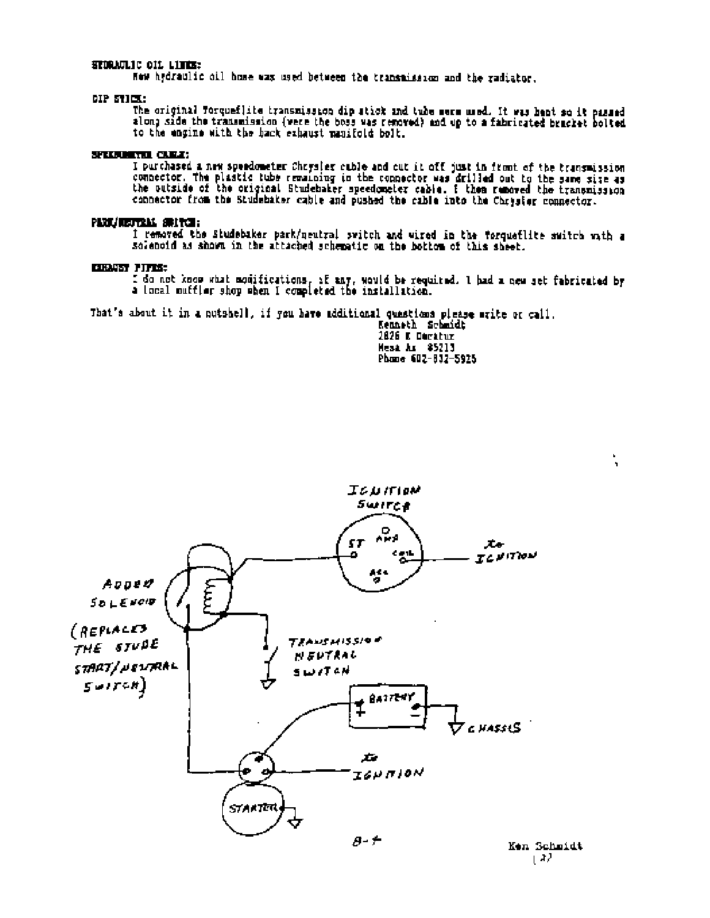#### STORAGLIC OIL LITES:

Now hydraulic oil home was used between the transmission and the radiator.

#### DIP STICK:

The original Torqueflite transmission dip stick and tube merm used. It was bent so it passed along side the transmission (were the boss was removed) and up to a fabricated bracket bolted to the engine with the back exhaust manifold bolt.

#### SPECIMENT CURE:

I purchased a new speedometer Chrysler cuble and cut it off just in front of the transmission connector. The plastic tube remaining in the connector was drilled out to the same size as the outside of the original Studebake

## PART/REFERAL SERVERS

I removed the Studebaker park/neutral switch and wired in the forquefilte switch with a sciencid as shown in the attached schematic on the bottom of this sheet.

#### **CIENTST FIFTS:**

I do not know what monifications, if any, would be required. I had a new set fabricated by a local muffler shop when I completed the installation.

That's about it in a nutshell, if you have additional quastions please write or call.

Kenneth Schmidt 2826 E Decatur Mesa Ar \$5213 Phone 602-832-5925



Ken Schmidt 142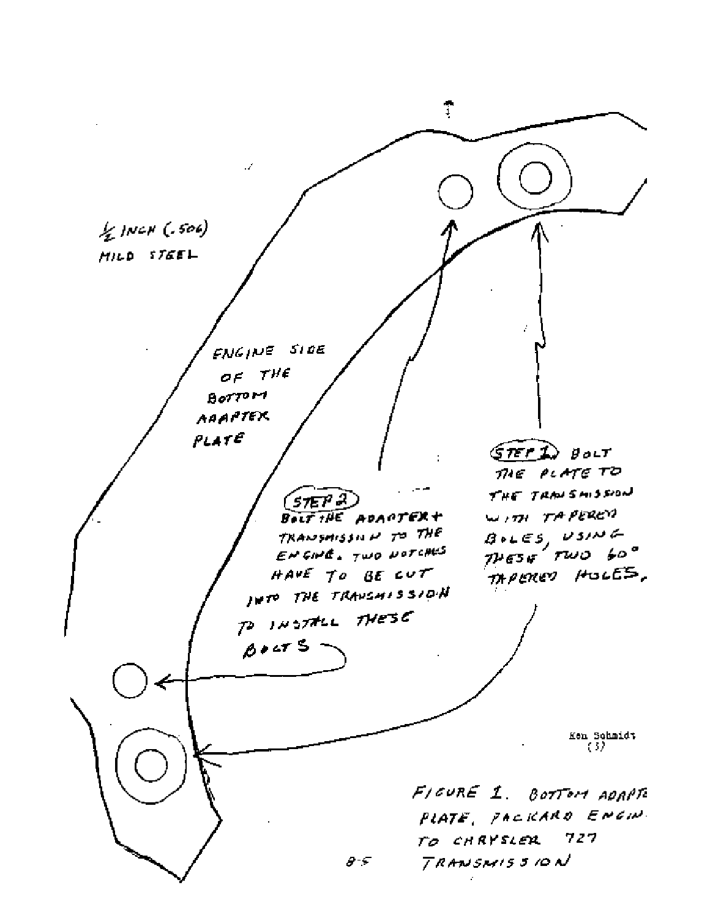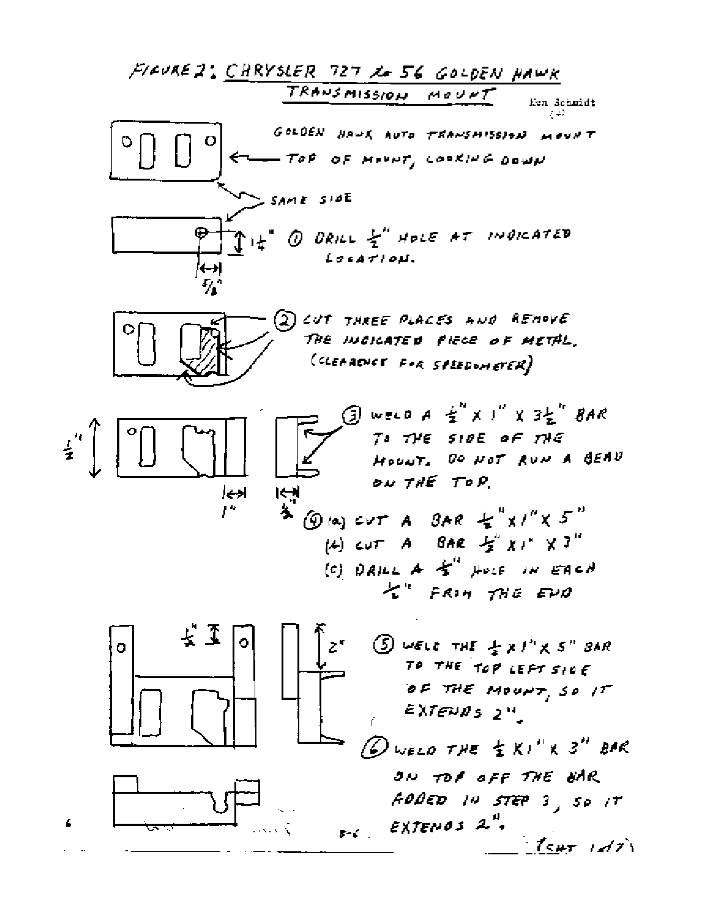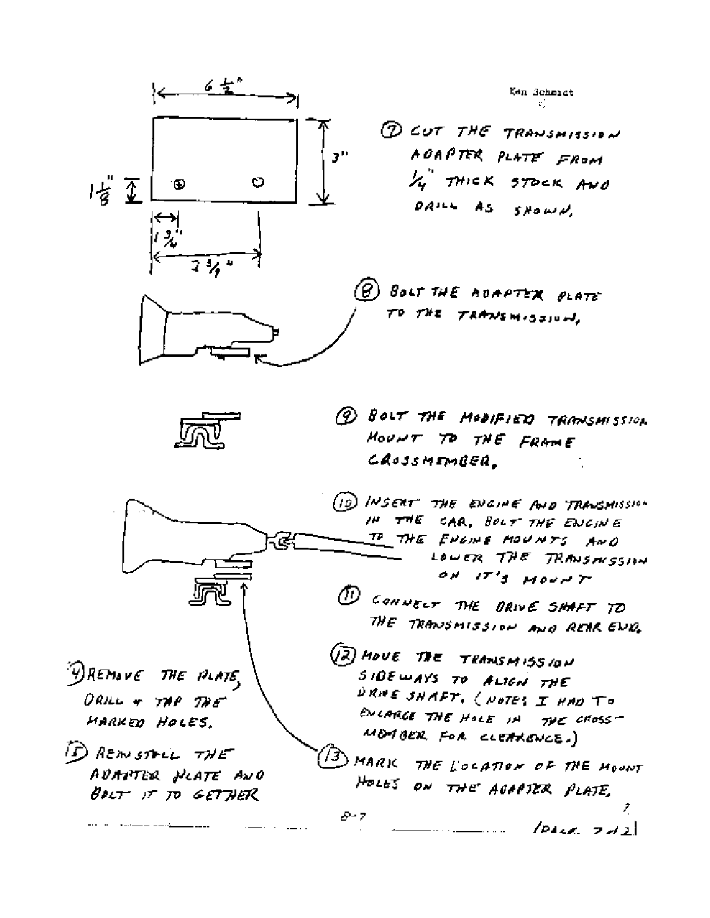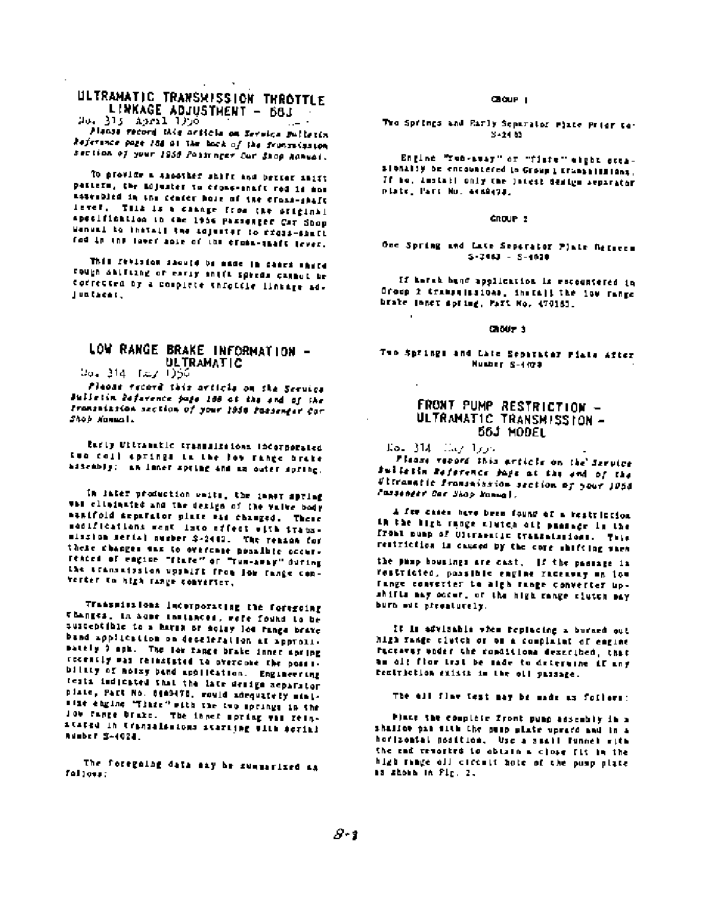# ULTRANATIC TRANSMISSION THROTTLE LINKAGE ADJUSTMENT - 68J

ەرلا 115مىغ 13 مىڭ Planse record this neticle on Service Bulletin

Reference page 184 of the back of the framewission section of your 1956 Pointness Car Shop Manual.

To provide a shoother shift and better shift pastern, the nojuster to crons-anaft rod is now assembled in the center hole of ine cross-shaft lever. This is a cannge from the original apocification in the 1956 Passenger Car Shop Wennel to install the adjuster to creas-sourc rod in the lawer apie of the cross-thaft lever.

This resisted should be made in cases share Fough Shifting of early shift speeds cannot be corrected by a complete throttle linkage ad-Juntaear.

### LOW RANGE BRAKE INFORMATION -**ULTRAMATIC**

04, 314 (س) (054

Please record this article on the Service Bulletin Befarence juge 188 at the end of the Framenizzion section of your 1956 fassenger Car Shop Nammal.

Early Ultramatic transmissions incorporated two coll aprings in the fow range brake assembly: an inner spring and an outer spring.

In later production weits, the inner spring vas climinated and the design of the valve body nanifold separator plate car changed. These senifications went into effect with transminsion serial number \$-2443. The reason for these changes sas to overcase possible occurreaces of eagine "flate" or "run-away" during the transmission upshift from low range converter to high range converter,

Transmissions incorporating the foregoing changes, in hope instances, were found to be susceptible to a harma or solay los range brave band application on deceleration at approximately 9 apk. The low range brake inner spring recently was reinstated to overcome the possibility of notay band application. Engineering tests indicated that the late design separator plate, Part No. 8489478, would adequately minisize engine "Tinze" with the two springs in the low tange brake. The inner spring was reinstated in transalacions staring with scribl RUMBER S-4024

The foregoing data may be summarized as fallous:

#### Châur L

The Springs and Early Separator Plate Prior to-3-24.83

Engine "res-avay" or "fiste" eight occaslonally be encountered in Group 1 Changelesians. If me, install only the latest design separator Plate, Part No. 4488478.

#### CROUP<sub>2</sub>

#### One Spring and Late Separator Plate Referen  $5 - 7043 = 5 - 1020$

If harak hang application is encountered in Oroco 2 transmissions, install the low range brake longt spring, Mart No. 470163.

#### CROUP<sub>3</sub>

Two Springs and Late Separator Piate After Number S-4100

#### FRONT PUMP RESTRICTION -ULTRANATIC TRANSMISSION -56J MODEL

 $E_0 = 314$   $E_0 / 100$ 

Please record this article on the Service Pulletin Reference Page at the and of the ditramatic framsaission section of your JOSO Cassenger Car Shop Manual.

A fee cases have been found of a restriction in the kigh range slutch off passage in the fromt nump of Citraentic Craminations. This restriction is dauged by the core shifting when

the pamp housings are cast. If the passage in restricted, possible engine raceavay an low fange converter to algh fange converter upshifts may occur, or the high range slutch may burn out pressiuraly.

It is advisable when replacing a burned out high range clutch or om a complaint of engine PECTATES under the conditions described, that am ol! flow trat be made to determine if any rentriction stists in the oil passage.

The all flaw test may be made as follows:

Place the complete front punp assembly in a shaller pas sith the pusp plate uprace and in a horizontal position, Use a small funnel with the end tempered to obtain a close fit in the high range old circuit hote of the pump plate as shown in Fig. 2.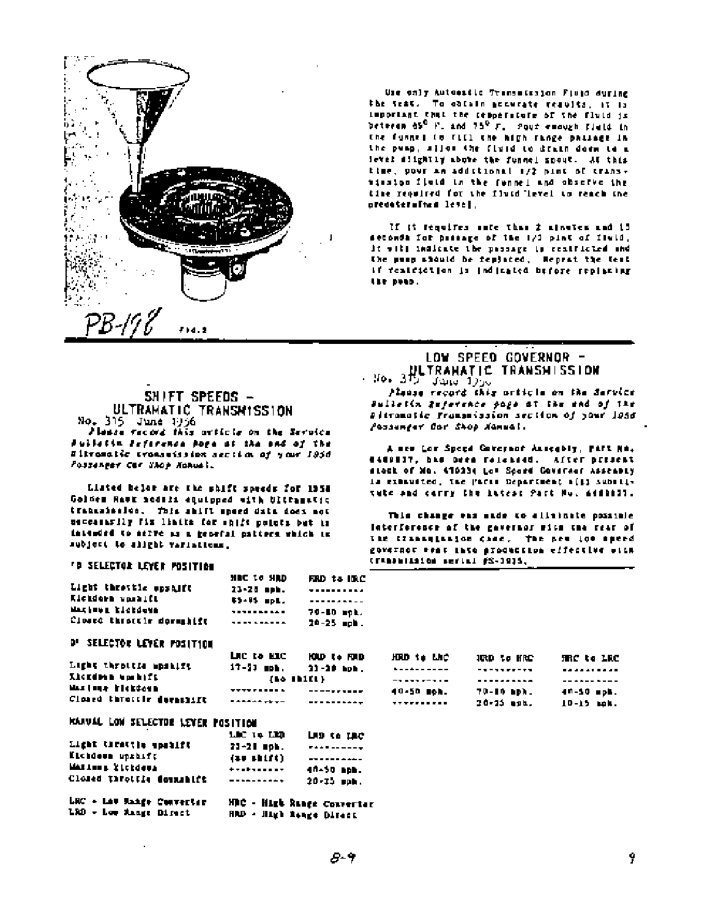

Use only Autoestic Transmission Fluid during the seat. To obtain accurate reaults, at is important that the respersions of the fluid is between 05<sup>0</sup> F, and 75<sup>0</sup> F, Pour emough field in the funnel to fill the high range passage in the pump, silon the fixed to drain does to a level slightly above the funnel spout. At this time, powr an additional 1/2 pint of transminsion field in the funnel and observe the time regulted for the fluid level to reach the preceteralize level.

If it requires sate than 2 minutes and it setonda for passage of the 1/1 pint of field, it will indicate the passage is restricted and the pusp should be replaced. Heprat the test if featriction is indicated before replacing the poso.

# SHIFT SPEEDS -<br>ULTRAHATIC TRANSMISSION No. 315 June 1956

Planse vecord this orticle on the Service Pulletin Seference page of the end of the Sitramatic tromanission accilin of your 1950 Possenger Car Shop Nonvel.

Listed belor are the shift speeds for 1954 Golden Hawk nodsis equipped with Ultramstic transmission, This shift speed data does not DESCARDERLY FIX limits for engits points but in intended to serve as a general pattern which in subject to slight variations.

#### 'D SELECTOR LEYER POSITION

|                           | NUC TO NUD        | FIRD to IDAC      |
|---------------------------|-------------------|-------------------|
| Light throttle spshift    | 23-28 mmh.        | <b>**********</b> |
| Kickdorn upskift          | 65-95 mpL.        | ----------        |
| Maximus bichdows          | <b>**********</b> | 70-10 mph.        |
| Closed throttle dormshift | <b>**********</b> | $20 - 25$ aph.    |

#### **D' SELECTOR LEVER POSITION**

|                           | LIC to HIC        | KOLD Co FORD   | HOD to LAC        | IRD to HRC | TRC to LRC     |
|---------------------------|-------------------|----------------|-------------------|------------|----------------|
| Light throttle mpshift    | $17 - 33$ mph.    | $22 - 20$ hph. | <b></b>           | ---------- | ----------     |
| <b>Licedern undhift</b>   |                   | (10.1)         |                   | ---------- | --**--*---     |
| MASINER RICKCOMB.         | <b>**********</b> | ----------     | 40-50 meh.        | 70-10 ND). | 40-10 шрћ.     |
| Closed throughe decastift |                   | ----------     | <b>**********</b> | 30-33 mpm. | $10 - 15$ mok. |

## RANUAL LOW SELECTOR LEVER POSITION

|                           | шето по          | LAD to LAC                 |
|---------------------------|------------------|----------------------------|
| Light thrattle speaked    | 23-28 MSL.       | <b>FAAR------</b>          |
| Kichdown uprhift          | (11.11)(1)       | ----------                 |
| MARINNE Elekdewa          | <b>+++++++++</b> | 40-50 aph.                 |
| Closed throttle domainift | ----------       | 20-35 ppk.                 |
| LRC + Law Mange Convertir |                  | MBC - High Ringe Converts: |

HRD - High Renge Direct LED - Low Mange Direct

# LOW SPEED GOVERNOR -ULTRAHATIC TRANSHISSION

- No. 315 للردل سنفال

Planne record this orticle on the Service Bulletin Reference page at the end of the Pitromatic Framomission section of your 1056 Possenger Car Shop Nammal.

A men Lor Speed Governot Assegbly, PAFL NA. 4440117, has been released. After present stock of Mo. 410334 Los Spord Governor Assembly is exhausted, the PACLE Department officially tute and corry the intest Part No. 6480021.

This change was sade to elisinate possible Interference of the governor with the rear of The Classagianion came, The new low speed governor went into production effective with CERRANIZAÇON REFINI ES-1935.

| RD      | HOLD to LAC       | IRD to HRC | TRC to LRC |
|---------|-------------------|------------|------------|
| Ь.      | <b></b>           | ---------- | ---------- |
|         | ----------        |            | --**--*--- |
|         | 40-50 meh.        | 70-10 mph. | 40-50 mph. |
| <b></b> | <b>**********</b> | 20-25 mpm. | 10-15 mok. |
|         |                   |            |            |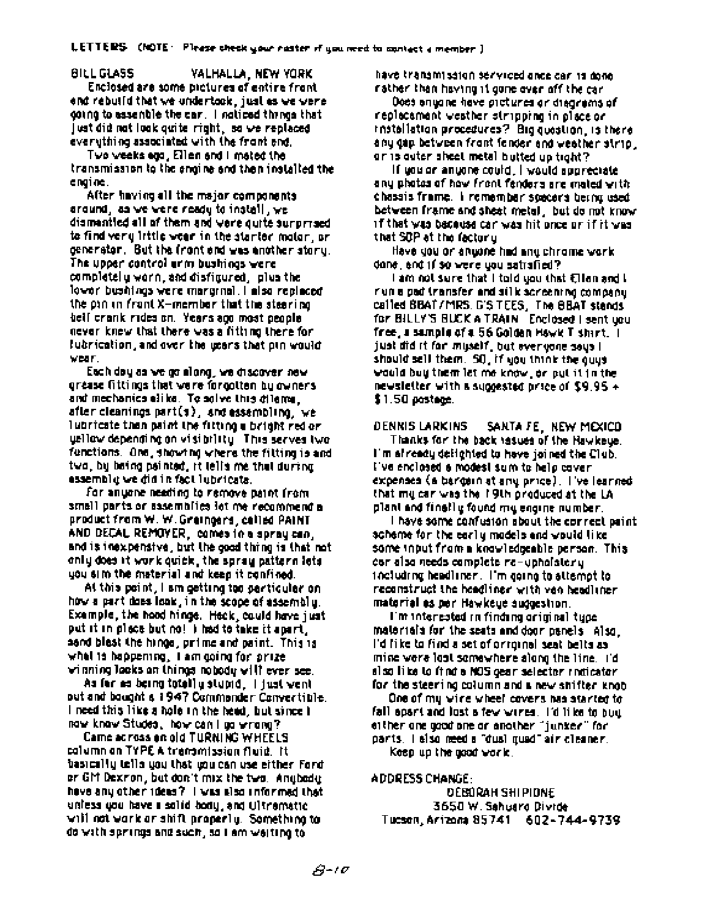**BILL GLASS** VALHALLA, NEW YORK Enclosed are some pictures of entire front end rebuild that we undertook, just as we were going to assemble the car. I noticed thrings that just did not look quite right, so we replaced everything associated with the front end.

Two weeks egg, Ellen and I mated the transmission to the engine and then installed the engine.

After having all the major components. around, as we were ready to install, we dismantled all of them and vere quite surprised to find very little wear in the starter motor, or denerator. But the front and was enother story. The upper control arm bushings were completely worn, and disfigured, plus the lower bushings were marginal. I also replaced the pan on front X-member that the steering beil crank rides on. Years ago most people never knew that there was a fitting there for fubrication, and over the users that pin would MEAR.

Each day as we go along, we chacover new gréase fittings that ware forgotten by owners. and mechanics alike. To solve this dilama. after cleanings part(s), and essembling, we lubricate than paint the fitting a bright red or uellow depending on visibility. This serves two fenctions. One, showing where the fitting is and two, by being psinted, it lells me that during. essemble we did in fact lubricate.

for anyone needing to remove paint from small parts or assemblics lot me recommend a product from W. W. Greingers, celled PAINT. AND DECAL REMOYER, comes in a spray can, and is inexpensive, but the good thing is that not only does it work quick, the spray pattern lots you sim the material and keep it confined.

At this point, I sm getting too perticular on. how a part does look, in the scope of assembly. Example, the hood hinge. Heck, could have just. put it in place but no! I had to take it apart, sand blast the hings, prime and paint. This is what is happening, it am going for prize viening looks on things robody will ever see.

As for as being totally stupid, I just vent out and bought a 1947 Commonder Convertible. I need this like a hole in the head, but since I naw knaw Studes, how can I go wrong?

Came across on old TURNING WHEELS column on TYPE A transmission fluid. It basically tells you that you can use either Ford. or GM Dexron, but don't mix the two. Angbody have any other ideas? I was also informed that unless you have a solid body, and Ultramatic will not work or shift properly. Something to do with springs and such, so I am weiting to

have transmission serviced ance car is done rather than having it gone over off the car.

Does anyone have pictures or diagrams of replecament westher stripping in place or. installation procedures? Big quastion, is thereany gap between front fender and westher strip. or is outer sheet metal butted up tight?

if you or anyone could, I would sporeciate. any photos of how front fenders are mated with chassis frame. I remember specers being used between frame and sheat metal, but do not know if that was bacause can was hit once on if it was that SDP at the factor u

Have you or anyone had any chrome work. dane, and if so were you satisfied?

i am not sure that I told you that Ellen and L run a pad transfer and silk screening company. called BBAT/MRS. D'S TEES, The BBAT stends for BILLY'S BUCK A TRAIN Enclosed I sent you free, a sample of a 56 Golden Hawk T shart, [1] just did it for muself, but everyone sous I should sell them. SO, if you think the quuswould buy them let me know, or put it in the newsletter with a suggested price of \$9,95  $\star$  . \$1.50 postege.

DENNIS LARKINS SANTA FE. NEW MEXICO

Thanks for the back issues of the Hawkeue. I'm afready delighted to have joined the Club. l've enclosed a modest sum to help caver. expenses (a bargain at any price). The learned that my car was the 19th produced at the LA plant and finally found my engine number.

I have some confusion about the correct paint. scheme for the early models and would like. some input from a knowledgeable person. This car also needs complete re-upholstery. including headliner. I'm going to attempt to reconstruct the headlings with van beadlings. material es per Hawkeye auggestion.

I'm interested in finding original type. materials for the seats and door panels also. l'difike to find a set of orronnel seat belta as mine wore loot somewhere along the line. Tid. sisg like to find a NOS gear selector indicator. for the steering column and a new shifter knob-

One of my wine wheel covers has stanted to fall apart and lost a few wires. I'd like to buy either are good one or another "junker" for parts, i elso meed a "dual quad" air cleaner. Keep up the good work.

**ADDRESS CHANGE:** 

DEBORAH SHIPIDNE 3650 W. Sahuaro Divide Tucson, Arizona 85741 602-744-9739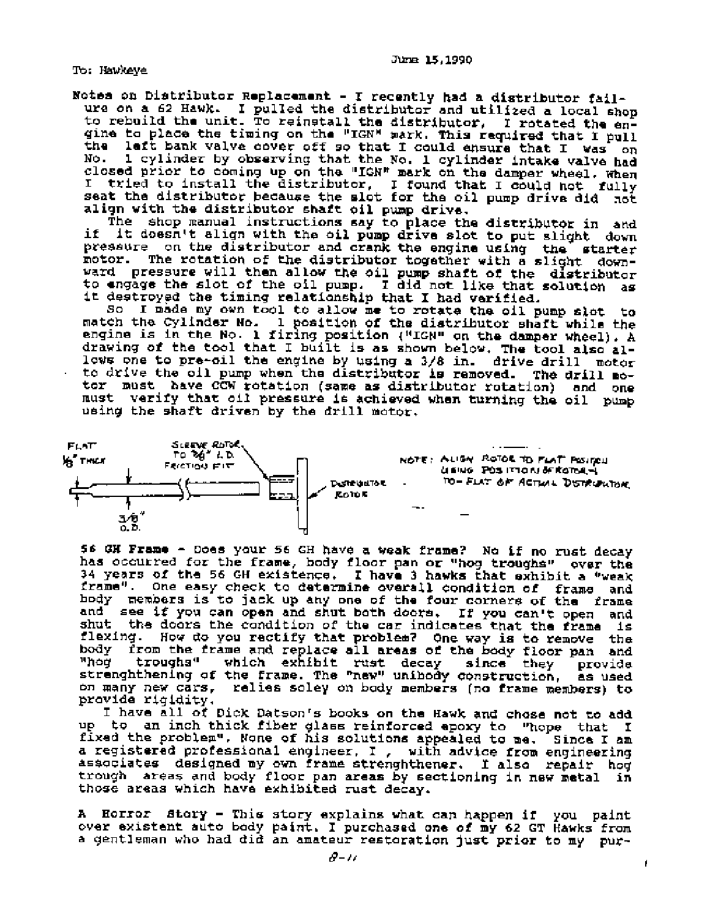To: Hawkeye

Notes on Distributor Replacement - I recently had a distributor failure on a 62 Hawk. I pulled the distributor and utilized a local shop<br>to rebuild the unit. To reinstall the distributor, I rotated the engine to place the timing on the "IGN" mark. This required that I pull the laft bank valve cover off so that I could ensure that I was on 1 cylinder by observing that the No. 1 cylinder intake valve had No. closed prior to coming up on the "IGN" mark on the damper wheel. When I tried to install the distributor, I found that I could not fully seat the distributor because the slot for the oil pump drive did not align with the distributor shaft oil pump drive.

The shop manual instructions say to place the distributor in and it doesn't align with the oil pump drive slot to put slight down if pressure on the distributor and crank the engine using the starter The rotation of the distributor together with a slight downmotor. ward pressure will then allow the oil pump shaft of the distributor to engage the slot of the oil pump. I did not like that solution as it destroyed the timing relationship that I had verified.

So I made my own tool to allow me to rotate the oil pump slot to match the Cylinder No. 1 position of the distributor shaft while the engine is in the No. 1 firing position ("IGN" on the damper wheel). A drawing of the tool that I built is as shown below. The tool also allows one to pre-oil the engine by using a 3/8 in. drive drill motor to drive the oil pump when the distributor is removed. The drill motor must have CCW rotation (same as distributor rotation) and one must verify that oil pressure is achieved when turning the oil pump using the shaft driven by the drill motor.



56 GH Frame - Does your 56 GH have a weak frame? No if no rust decay has occurred for the frame, body floor pan or "hog troughs" over the 34 years of the 56 GH existence. I have 3 hawks that exhibit a "weak frame". One easy check to determine overall condition of frame and hody members is to jack up any one of the four corners of the frame and see if you can open and shut both doors. If you can't open and shut the doors the condition of the car indicates that the frame is flexing. How do you rectify that problem? One way is to remove the body from the frame and replace all areas of the body floor pan and "hoq" troughs" which exhibit rust decay since they provide strenghthening of the frame. The "new" unibody construction, as used on many new cars, relies soley on body members (no frame members) to provide rigidity.

I have all of Dick Datson's books on the Hawk and chose not to add up to an inch thick fiber glass reinforced apoxy to "hope that I fixed the problem". None of his solutions appealed to me. Since I am a registered professional engineer, I , with advice from engineering associates designed my own frame strenghthener. I also repair hog trough areas and body floor pan areas by sectioning in new metal in those areas which have exhibited rust decay.

A Horror Story - This story explains what can happen if you paint over existent auto body paint. I purchased one of my 62 GT Hawks from a gentleman who had did an amateur restoration just prior to my pur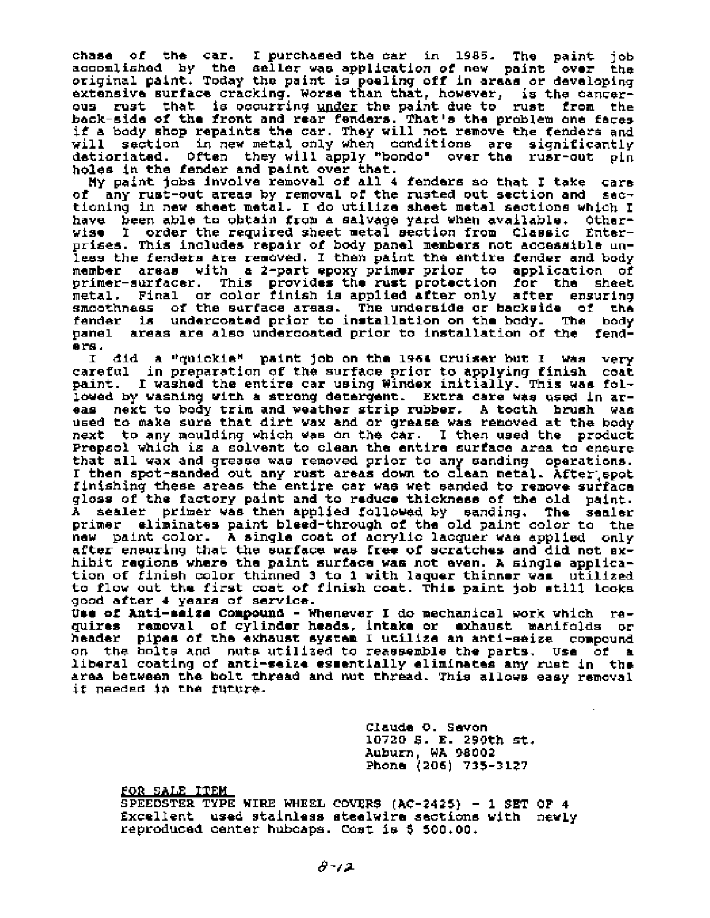chase of the car. I purchased the car in 1985. The paint job accomlished by the seller was application of new paint over the original paint. Today the paint is peeling off in areas or developing extensive surface cracking. Worse than that, however, is the cancerous rust that is occurring <u>under</u> the paint due to rust from the back-side of the front and rear fenders. That's the problem one faces if a body shop repaints the car. They will not remove the fenders and will section in new metal only when conditions are significantly Often they will apply "bondo" over the rusr-out pin detioriated. holes in the fender and paint over that.

My paint jobs involve removal of all 4 fenders so that I take care any rust-out areas by removal of the rusted out section and secоĒ tioning in new sheet metal. I do utilize sheet metal sections which I have been able to obtain from a salvage yard when available. Other-<br>wise I order the required sheet metal section from Classic Enterprises. This includes repair of body panel members not accessible unless the fenders are removed. I then paint the entire fender and body areas with a 2-part epoxy primer prior to application of member primer-surfacer. This provides the rust protection for the sheet metal. Final or color finish is applied after only after ensuring smoothness of the surface areas. The underside or backside of the fender is undercoated prior to installation on the body. The body panel areas are also undercoated prior to installation of the fenders.

I did a "quickie" paint job on the 1964 Cruiser but I was very careful in preparation of the surface prior to applying finish coat paint. I washed the entire car using Windex initially. This was followed by washing with a strong detergent. Extra care was used in areas next to body trim and weather strip rubber. A tooth brush was used to make sure that dirt wax and or grease was removed at the body next to any moulding which was on the car. I then used the product Prepsol which is a solvent to clean the entire surface area to ensure that all wax and grease was removed prior to any sanding operations. I then spot-sanded out any rust areas down to clean metal. After spot finishing these areas the entire car was wet sanded to remove surface gloss of the factory paint and to reduce thickness of the old paint. A sealer primer was then applied followed by sanding. The sealer primer eliminates paint bleed-through of the old paint color to the new paint color. A single coat of acrylic lacquer was applied only after ensuring that the surface was free of scratches and did not exhibit regions where the paint surface was not even. A single application of finish color thinned 3 to 1 with laquer thinner was utilized to flow out the first coat of finish coat. This paint job still looks good after 4 years of service.

Use of Anti-saiza Compound - Whenever I do mechanical work which raquires removal of cylinder heads, intake or exhaust manifolds or header pipes of the exhaust system I utilize an anti-seize compound on the bolts and nuts utilized to reassemble the parts. Use of a liberal coating of anti-seize esmentially eliminates any rust in the area between the bolt thread and nut thread. This allows easy removal if needed in the future.

> Claude O. Sevon 10720 S. E. 290th st. Auburn, WA 98002 Phone (205) 735-3127

FOR SALE ITEM

SPEEDSTER TYPE WIRE WHEEL COVERS (AC-2425) - 1 SET OF 4 Excellent used stainless steelwire sections with newly reproduced center hubcaps. Cost is \$ 500.00.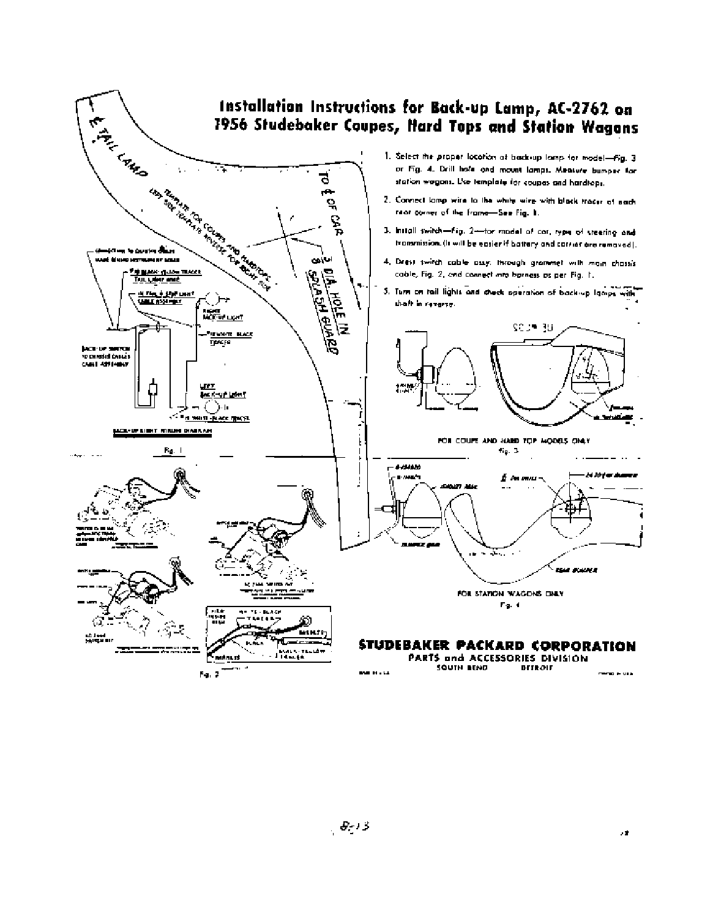